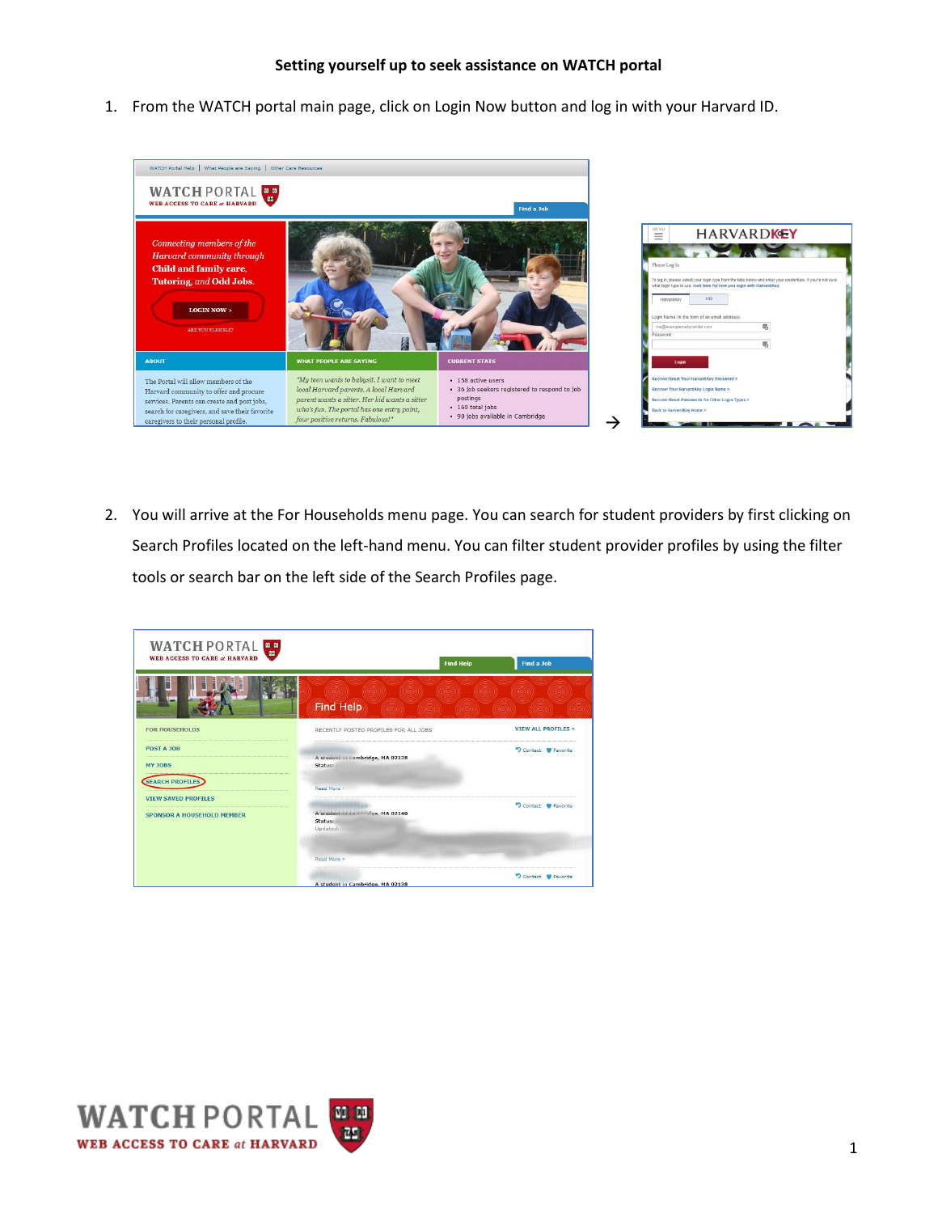1. From the WATCH portal main page, click on Login Now button and log in with your Harvard ID.



2. You will arrive at the For Households menu page. You can search for student providers by first clicking on Search Profiles located on the left-hand menu. You can filter student provider profiles by using the filter tools or search bar on the left side of the Search Profiles page.

| WATCH PORTAL<br><b>WEB ACCESS TO CARE at HARVARD</b> |                                                         |                                    |                            |  |
|------------------------------------------------------|---------------------------------------------------------|------------------------------------|----------------------------|--|
|                                                      |                                                         | <b>Find Help</b>                   | <b>Find a Job</b>          |  |
|                                                      | mon nom mon non nom mon nom<br><b>Find Help</b>         | (1960) (1960) (1960) (1960) (1960) | <b>ROLL</b>                |  |
| <b>FOR HOUSEHOLDS</b>                                | RECENTLY POSTED PROFILES FOR ALL JOBS                   |                                    | <b>VIEW ALL PROFILES »</b> |  |
| <b>POST A JOB</b><br>MY JOBS                         | A student in Cambridge, MA 02138<br>Statuer             |                                    | D Contact C Favorite       |  |
| SEARCH PROFILES<br><b>VIEW SAVED PROFILES</b>        | Read More                                               |                                    |                            |  |
| <b>SPONSOR A HOUSEHOLD MEMBER</b>                    | A student in Cambridge, MA 02140<br>Status:<br>Updated: |                                    | Contact CF Favorite        |  |
|                                                      | Read More ><br>A student in Cambridge, MA 02138         |                                    | Contact C Favorite         |  |

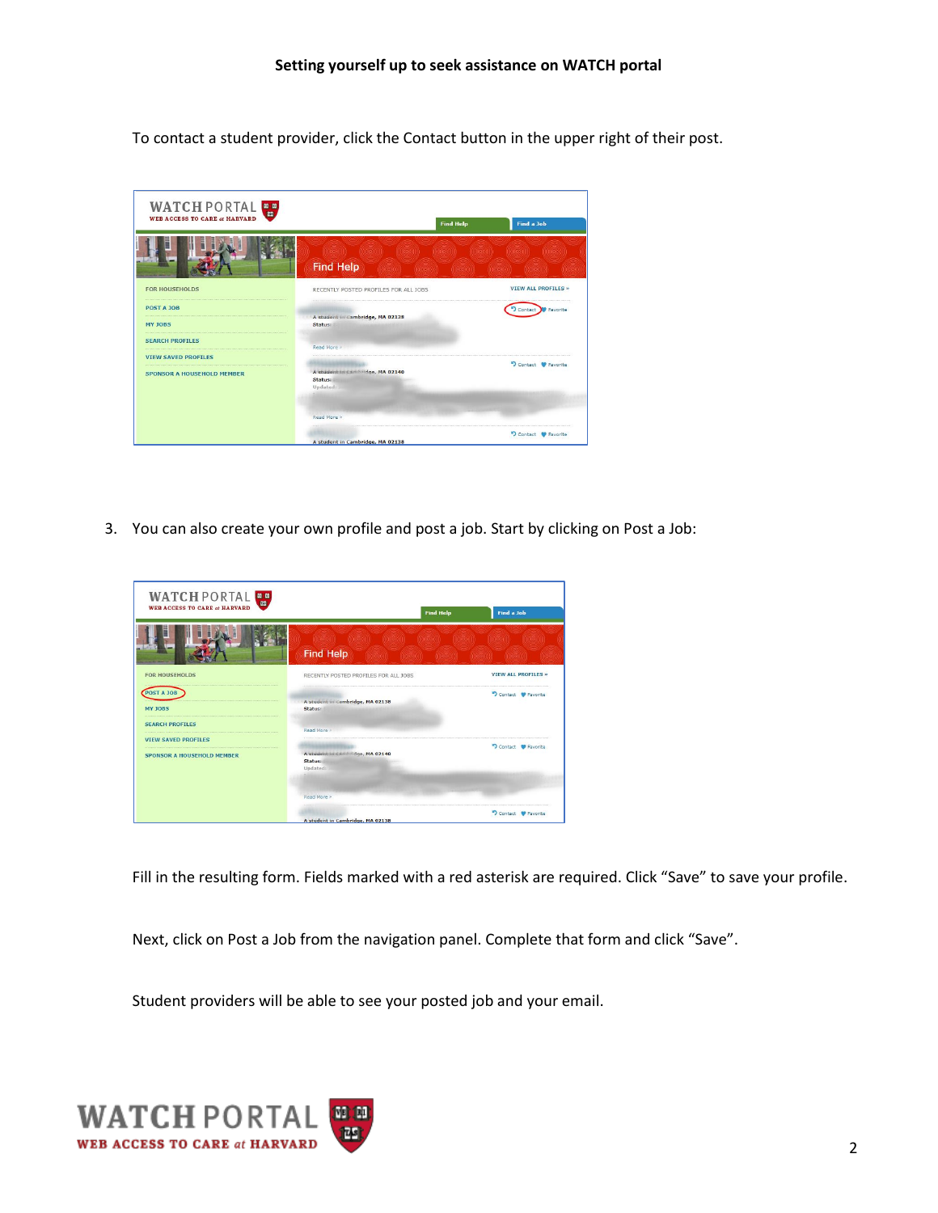To contact a student provider, click the Contact button in the upper right of their post.



3. You can also create your own profile and post a job. Start by clicking on Post a Job:



Fill in the resulting form. Fields marked with a red asterisk are required. Click "Save" to save your profile.

Next, click on Post a Job from the navigation panel. Complete that form and click "Save".

Student providers will be able to see your posted job and your email.